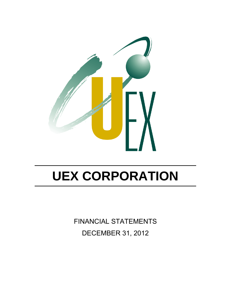

FINANCIAL STATEMENTS DECEMBER 31, 2012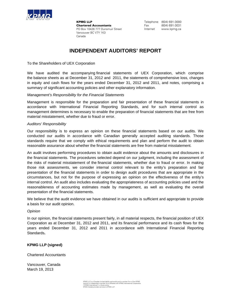

KPMG LLP Chartered Accountants PO Box 10426 777 Dunsmuir Street Vancouver BC V7Y 1K3 Canada

Telephone (604) 691-3000 Fax (604) 691-3031 Internet www.kpmg.ca

### **INDEPENDENT AUDITORS' REPORT**

To the Shareholders of UEX Corporation

We have audited the accompanying financial statements of UEX Corporation, which comprise the balance sheets as at December 31, 2012 and 2011, the statements of comprehensive loss, changes in equity and cash flows for the years ended December 31, 2012 and 2011, and notes, comprising a summary of significant accounting policies and other explanatory information.

### *Management's Responsibility for the Financial Statements*

Management is responsible for the preparation and fair presentation of these financial statements in accordance with International Financial Reporting Standards, and for such internal control as management determines is necessary to enable the preparation of financial statements that are free from material misstatement, whether due to fraud or error.

### *Auditors' Responsibility*

Our responsibility is to express an opinion on these financial statements based on our audits. We conducted our audits in accordance with Canadian generally accepted auditing standards. Those standards require that we comply with ethical requirements and plan and perform the audit to obtain reasonable assurance about whether the financial statements are free from material misstatement.

An audit involves performing procedures to obtain audit evidence about the amounts and disclosures in the financial statements. The procedures selected depend on our judgment, including the assessment of the risks of material misstatement of the financial statements, whether due to fraud or error. In making those risk assessments, we consider internal control relevant to the entity's preparation and fair presentation of the financial statements in order to design audit procedures that are appropriate in the circumstances, but not for the purpose of expressing an opinion on the effectiveness of the entity's internal control. An audit also includes evaluating the appropriateness of accounting policies used and the reasonableness of accounting estimates made by management, as well as evaluating the overall presentation of the financial statements.

We believe that the audit evidence we have obtained in our audits is sufficient and appropriate to provide a basis for our audit opinion.

### *Opinion*

In our opinion, the financial statements present fairly, in all material respects, the financial position of UEX Corporation as at December 31, 2012 and 2011, and its financial performance and its cash flows for the years ended December 31, 2012 and 2011 in accordance with International Financial Reporting Standards**.** 

### **KPMG LLP (signed)**

Chartered Accountants

Vancouver, Canada March 19, 2013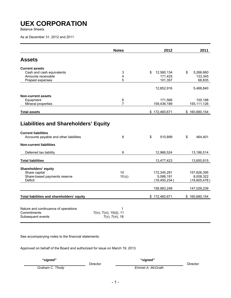Balance Sheets

As at December 31, 2012 and 2011

|                                                                                                        | <b>Notes</b>            | 2012             | 2011            |
|--------------------------------------------------------------------------------------------------------|-------------------------|------------------|-----------------|
| <b>Assets</b>                                                                                          |                         |                  |                 |
| <b>Current assets</b>                                                                                  |                         |                  |                 |
| Cash and cash equivalents                                                                              | 3                       | \$<br>12,580,134 | \$<br>5,266,660 |
| Amounts receivable                                                                                     | 4                       | 171,425          | 133,345         |
| Prepaid expenses                                                                                       | 5                       | 101,357          | 68,835          |
|                                                                                                        |                         | 12,852,916       | 5,468,840       |
| <b>Non-current assets</b>                                                                              |                         |                  |                 |
| Equipment                                                                                              | 6                       | 171,566          | 100,188         |
| Mineral properties                                                                                     | 7                       | 159,436,189      | 155, 111, 126   |
|                                                                                                        |                         |                  |                 |
| <b>Total assets</b>                                                                                    |                         | \$172,460,671    | \$160,680,154   |
| <b>Current liabilities</b><br>Accounts payable and other liabilities<br><b>Non-current liabilities</b> | 8                       | \$<br>510,899    | \$<br>464,401   |
| Deferred tax liability                                                                                 | 9                       | 12,966,524       | 13,186,514      |
| <b>Total liabilities</b>                                                                               |                         | 13,477,423       | 13,650,915      |
| Shareholders' equity                                                                                   |                         |                  |                 |
| Share capital                                                                                          | 10                      | 172,345,291      | 157,826,395     |
| Share-based payments reserve                                                                           | 10(c)                   | 5,088,191        | 8,008,322       |
| Deficit                                                                                                |                         | (18, 450, 234)   | (18, 805, 478)  |
|                                                                                                        |                         | 158,983,248      | 147,029,239     |
| Total liabilities and shareholders' equity                                                             |                         | \$172,460,671    | \$160,680,154   |
| Nature and continuance of operations                                                                   | 1                       |                  |                 |
| Commitments                                                                                            | 7(iv), 7(vi), 10(d), 11 |                  |                 |
| Subsequent events                                                                                      | 7(v), 7(vi), 18         |                  |                 |
|                                                                                                        |                         |                  |                 |

See accompanying notes to the financial statements.

Approved on behalf of the Board and authorized for issue on March 19, 2013.

*Director* **Director Director Director Director Director Director Director Director** 

 *"signed" "signed"* 

**Graham C. Thody Emmet A. McGrath**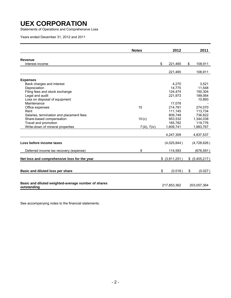Statements of Operations and Comprehensive Loss

Years ended December 31, 2012 and 2011

|                                                                    | <b>Notes</b>    | 2012            | 2011           |
|--------------------------------------------------------------------|-----------------|-----------------|----------------|
| <b>Revenue</b>                                                     |                 |                 |                |
| Interest income                                                    |                 | \$<br>221,465   | \$<br>108,911  |
|                                                                    |                 |                 |                |
|                                                                    |                 | 221,465         | 108,911        |
| <b>Expenses</b>                                                    |                 |                 |                |
| Bank charges and interest                                          |                 | 4,270           | 3,521          |
| Depreciation                                                       |                 | 14,775          | 11,548         |
| Filing fees and stock exchange                                     |                 | 124,474         | 150,304        |
| Legal and audit                                                    |                 | 221,973         | 189,064        |
| Loss on disposal of equipment                                      |                 |                 | 10,893         |
| Maintenance                                                        |                 | 17,078          |                |
| Office expenses                                                    | 15              | 214,791         | 274,070        |
| Rent                                                               |                 | 111,145         | 113,734        |
| Salaries, termination and placement fees                           |                 | 809,748         | 736,822        |
| Share-based compensation                                           | 10(c)           | 953,532         | 1,344,038      |
| Travel and promotion                                               |                 | 165,782         | 119,776        |
| Write-down of mineral properties                                   | 7 (iii), 7 (iv) | 1,609,741       | 1,883,767      |
|                                                                    |                 | 4,247,309       | 4,837,537      |
|                                                                    |                 |                 |                |
| Loss before income taxes                                           |                 | (4,025,844)     | (4,728,626)    |
| Deferred income tax recovery (expense)                             | 9               | 114,593         | (676, 591)     |
| Net loss and comprehensive loss for the year                       |                 | $$$ (3,911,251) | \$ (5,405,217) |
|                                                                    |                 |                 |                |
| Basic and diluted loss per share                                   |                 | \$<br>(0.018)   | \$<br>(0.027)  |
|                                                                    |                 |                 |                |
| Basic and diluted weighted-average number of shares<br>outstanding |                 | 217,853,362     | 203,057,364    |

See accompanying notes to the financial statements.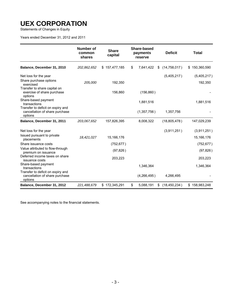Statements of Changes in Equity

Years ended December 31, 2012 and 2011

|                                                                                | <b>Number of</b><br>common<br>shares | <b>Share</b><br>capital | Share-based<br>payments<br>reserve | <b>Deficit</b>       | <b>Total</b>  |
|--------------------------------------------------------------------------------|--------------------------------------|-------------------------|------------------------------------|----------------------|---------------|
| Balance, December 31, 2010                                                     | 202,862,652                          | \$157,477,185           | 7,641,422<br>\$                    | (14, 758, 017)<br>\$ | \$150,360,590 |
| Net loss for the year                                                          |                                      |                         |                                    | (5,405,217)          | (5,405,217)   |
| Share purchase options<br>exercised                                            | 205,000                              | 192,350                 |                                    |                      | 192,350       |
| Transfer to share capital on<br>exercise of share purchase<br>options          |                                      | 156,860                 | (156, 860)                         |                      |               |
| Share-based payment<br>transactions                                            |                                      |                         | 1,881,516                          |                      | 1,881,516     |
| Transfer to deficit on expiry and<br>cancellation of share purchase<br>options |                                      |                         | (1,357,756)                        | 1,357,756            |               |
| Balance, December 31, 2011                                                     | 203,067,652                          | 157,826,395             | 8,008,322                          | (18, 805, 478)       | 147,029,239   |
| Net loss for the year                                                          |                                      |                         |                                    | (3,911,251)          | (3,911,251)   |
| Issued pursuant to private<br>placements                                       | 18,421,027                           | 15,166,176              |                                    |                      | 15,166,176    |
| Share issuance costs                                                           |                                      | (752, 677)              |                                    |                      | (752, 677)    |
| Value attributed to flow-through<br>premium on issuance                        |                                      | (97, 826)               |                                    |                      | (97, 826)     |
| Deferred income taxes on share<br>issuance costs                               |                                      | 203,223                 |                                    |                      | 203,223       |
| Share-based payment<br>transactions                                            |                                      |                         | 1,346,364                          |                      | 1,346,364     |
| Transfer to deficit on expiry and<br>cancellation of share purchase<br>options |                                      |                         | (4,266,495)                        | 4,266,495            |               |
| Balance, December 31, 2012                                                     | 221,488,679                          | \$172,345,291           | \$<br>5,088,191                    | (18, 450, 234)<br>\$ | \$158,983,248 |

See accompanying notes to the financial statements.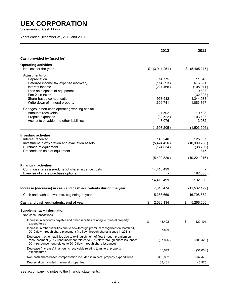Statements of Cash Flows

Years ended December 31, 2012 and 2011

|                                                                                                                                                                                                                                  | 2012                                                       |    | 2011                                                                             |
|----------------------------------------------------------------------------------------------------------------------------------------------------------------------------------------------------------------------------------|------------------------------------------------------------|----|----------------------------------------------------------------------------------|
| Cash provided by (used for):                                                                                                                                                                                                     |                                                            |    |                                                                                  |
| <b>Operating activities</b><br>Net loss for the year                                                                                                                                                                             | \$ (3,911,251)                                             |    | \$ (5,405,217)                                                                   |
| Adjustments for:<br>Depreciation<br>Deferred income tax expense (recovery)<br>Interest income<br>Loss on disposal of equipment<br>Part XII.6 taxes<br>Share-based compensation<br>Write-down of mineral property                 | 14,775<br>(114, 593)<br>(221, 465)<br>953,532<br>1,609,741 |    | 11,548<br>676,591<br>(108, 911)<br>10,893<br>(32, 398)<br>1,344,038<br>1,883,767 |
| Changes in non-cash operating working capital<br>Amounts receivable<br>Prepaid expenses<br>Accounts payable and other liabilities                                                                                                | 1,502<br>(32, 522)<br>3,076                                |    | 10,608<br>103,493<br>2,082                                                       |
|                                                                                                                                                                                                                                  | (1,697,205)                                                |    | (1,503,506)                                                                      |
| <b>Investing activities</b><br>Interest received<br>Investment in exploration and evaluation assets<br>Purchase of equipment<br>Proceeds on sale of equipment                                                                    | 146,240<br>(5,424,426)<br>(124, 634)                       |    | 125,687<br>(10, 309, 798)<br>(38, 780)<br>1,875                                  |
| <b>Financing activities</b><br>Common shares issued, net of share issuance costs<br>Exercise of share purchase options                                                                                                           | (5,402,820)<br>14,413,499                                  |    | (10, 221, 016)<br>192,350                                                        |
|                                                                                                                                                                                                                                  | 14,413,499                                                 |    | 192,350                                                                          |
| Increase (decrease) in cash and cash equivalents during the year<br>Cash and cash equivalents, beginning of year                                                                                                                 | 7,313,474<br>5,266,660                                     |    | (11, 532, 172)<br>16,798,832                                                     |
| Cash and cash equivalents, end of year                                                                                                                                                                                           | \$12,580,134                                               | S  | 5,266,660                                                                        |
| <b>Supplementary information</b><br>Non-cash transactions<br>Increase in accounts payable and other liabilities relating to mineral property<br>expenditures                                                                     | \$<br>43,422                                               | \$ | 129,101                                                                          |
| Increase in other liabilities due to flow-through premium recognized on March 14,<br>2012 flow-through share placement (no flow-through shares issued in 2011)                                                                   | 97,826                                                     |    |                                                                                  |
| Decrease in other liabilities due to extinguishment of flow-through premium on<br>renouncement (2012 renouncement relates to 2012 flow-through share issuance;<br>2011 renouncement relates to 2010 flow-through share issuance) | (97, 826)                                                  |    | (806, 428)                                                                       |
| Decrease (increase) in amounts receivable relating to mineral property<br>expenditures                                                                                                                                           | 35,643                                                     |    | (51,666)                                                                         |
| Non-cash share-based compensation included in mineral property expenditures                                                                                                                                                      | 392,832                                                    |    | 537,478                                                                          |
| Depreciation included in mineral properties                                                                                                                                                                                      | 38,481                                                     |    | 45,975                                                                           |

See accompanying notes to the financial statements.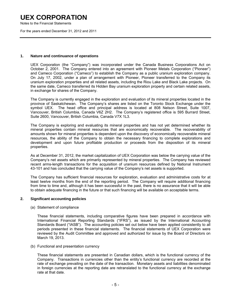Notes to the Financial Statements

For the years ended December 31, 2012 and 2011

#### **1. Nature and continuance of operations**

UEX Corporation (the "Company") was incorporated under the Canada Business Corporations Act on October 2, 2001. The Company entered into an agreement with Pioneer Metals Corporation ("Pioneer") and Cameco Corporation ("Cameco") to establish the Company as a public uranium exploration company. On July 17, 2002, under a plan of arrangement with Pioneer, Pioneer transferred to the Company its uranium exploration properties and all related assets, including the Riou Lake and Black Lake projects. On the same date, Cameco transferred its Hidden Bay uranium exploration property and certain related assets, in exchange for shares of the Company.

 The Company is currently engaged in the exploration and evaluation of its mineral properties located in the province of Saskatchewan. The Company's shares are listed on the Toronto Stock Exchange under the symbol UEX. The head office and principal address is located at 808 Nelson Street, Suite 1007, Vancouver, British Columbia, Canada V6Z 2H2. The Company's registered office is 595 Burrard Street, Suite 2600, Vancouver, British Columbia, Canada V7X 1L3.

The Company is exploring and evaluating its mineral properties and has not yet determined whether its mineral properties contain mineral resources that are economically recoverable. The recoverability of amounts shown for mineral properties is dependent upon the discovery of economically recoverable mineral resources, the ability of the Company to obtain the necessary financing to complete explorations and development and upon future profitable production or proceeds from the disposition of its mineral properties.

As at December 31, 2012, the market capitalization of UEX Corporation was below the carrying value of the Company's net assets which are primarily represented by mineral properties. The Company has reviewed recent arms-length transactions for the acquisition of uranium resources defined by National Instrument 43-101 and has concluded that the carrying value of the Company's net assets is supported.

 The Company has sufficient financial resources for exploration, evaluation and administrative costs for at least twelve months from the end of the reporting period. The Company will require additional financing from time to time and, although it has been successful in the past, there is no assurance that it will be able to obtain adequate financing in the future or that such financing will be available on acceptable terms.

### **2. Significant accounting policies**

(a) Statement of compliance

 These financial statements, including comparative figures have been prepared in accordance with International Financial Reporting Standards ("IFRS"), as issued by the International Accounting Standards Board ("IASB"). The accounting policies set out below have been applied consistently to all periods presented in these financial statements. The financial statements of UEX Corporation were reviewed by the Audit Committee and approved and authorized for issue by the Board of Directors on March 19, 2013.

(b) Functional and presentation currency

These financial statements are presented in Canadian dollars, which is the functional currency of the Company. Transactions in currencies other than the entity's functional currency are recorded at the rate of exchange prevailing on the date of the transaction. Monetary assets and liabilities denominated in foreign currencies at the reporting date are retranslated to the functional currency at the exchange rate at that date.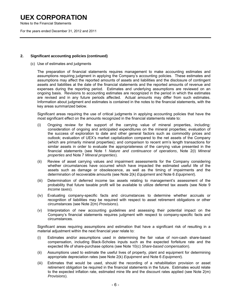Notes to the Financial Statements

For the years ended December 31, 2012 and 2011

### **2. Significant accounting policies (continued)**

(c) Use of estimates and judgments

 The preparation of financial statements requires management to make accounting estimates and assumptions requiring judgment in applying the Company's accounting policies. These estimates and assumptions may affect the reported amounts of assets and liabilities and the disclosure of contingent assets and liabilities at the date of the financial statements and the reported amounts of revenue and expenses during the reporting period. Estimates and underlying assumptions are reviewed on an ongoing basis. Revisions to accounting estimates are recognized in the period in which the estimates are revised and in any future periods affected. Actual amounts may differ from such estimates. Information about judgment and estimates is contained in the notes to the financial statements, with the key areas summarized below.

 Significant areas requiring the use of critical judgments in applying accounting policies that have the most significant effect on the amounts recognized in the financial statements relate to:

- (i) Ongoing review for the support of the carrying value of mineral properties, including: consideration of ongoing and anticipated expenditures on the mineral properties; evaluation of the success of exploration to date and other general factors such as commodity prices and outlook; evaluation of UEX's market capitalization compared to the net assets of the Company (which are primarily mineral properties); and comparison to recent arm's length transactions for similar assets in order to evaluate the appropriateness of the carrying value presented in the financial statements (see Note 1 *Nature and continuance of operations*, Note 2(l) *Mineral properties* and Note 7 *Mineral properties*).
- (ii) Review of asset carrying values and impairment assessments for the Company considering whether circumstances have occurred which have impacted the estimated useful life of the assets such as damage or obsolescence, as well as the timing of impairments and the determination of recoverable amounts (see Note 2(k) *Equipment* and Note 6 *Equipment*).
- (iii) Determination of deferred income tax assets relating to management's assessment of the probability that future taxable profit will be available to utilize deferred tax assets (see Note 9 *Income taxes*).
- (iv) Evaluating company-specific facts and circumstances to determine whether accruals or recognition of liabilities may be required with respect to asset retirement obligations or other circumstances (see Note 2(m) *Provisions*).
- (v) Interpretation of new accounting guidelines and assessing their potential impact on the Company's financial statements requires judgment with respect to company-specific facts and circumstances.

 Significant areas requiring assumptions and estimation that have a significant risk of resulting in a material adjustment within the next financial year relate to:

- (i) Estimates and/or assumptions used in determining the fair value of non-cash share-based compensation, including Black-Scholes inputs such as the expected forfeiture rate and the expected life of share-purchase options (see Note 10(c) *Share-based compensation*).
- (ii) Assumptions used to estimate the useful lives of property, plant and equipment for determining appropriate depreciation rates (see Note 2(k) *Equipment* and Note 6 *Equipment*).
- (iii) Estimates that would be used, should the recording of a rehabilitation provision or asset retirement obligation be required in the financial statements in the future. Estimates would relate to the expected inflation rate, estimated mine life and the discount rates applied (see Note 2(m) *Provisions*).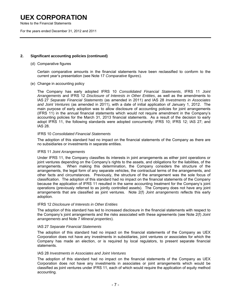Notes to the Financial Statements

For the years ended December 31, 2012 and 2011

### **2. Significant accounting policies (continued)**

#### (d) Comparative figures

Certain comparative amounts in the financial statements have been reclassified to conform to the current year's presentation (see Note 17 *Comparative figures*).

(e) Change in accounting policy

The Company has early adopted IFRS 10 *Consolidated Financial Statements*, IFRS 11 *Joint Arrangements* and IFRS 12 *Disclosure of Interests in Other Entities*, as well as the amendments to IAS 27 *Separate Financial Statements* (as amended in 2011) and IAS 28 *Investments in Associates and Joint Ventures* (as amended in 2011), with a date of initial application of January 1, 2012. The main purpose of early adoption was to allow disclosure of accounting policies for joint arrangements (IFRS 11) in the annual financial statements which would not require amendment in the Company's accounting policies for the March 31, 2013 financial statements. As a result of the decision to early adopt IFRS 11, the following standards were adopted concurrently: IFRS 10; IFRS 12; IAS 27; and IAS 28.

### IFRS 10 *Consolidated Financial Statements*

The adoption of this standard had no impact on the financial statements of the Company as there are no subsidiaries or investments in separate entities.

### IFRS 11 *Joint Arrangements*

Under IFRS 11, the Company classifies its interests in joint arrangements as either joint operations or joint ventures depending on the Company's rights to the assets, and obligations for the liabilities, of the arrangements. When making this determination, the Company considers the structure of the arrangements, the legal form of any separate vehicles, the contractual terms of the arrangements, and other facts and circumstances. Previously, the structure of the arrangement was the sole focus of classification. The adoption of this standard had no impact on the financial statements of the Company because the application of IFRS 11 resulted in the same accounting treatment for the Company's joint operations (previously referred to as jointly controlled assets). The Company does not have any joint arrangements that are classified as joint ventures. Note 2(f) *Joint arrangements* reflects this early adoption.

#### IFRS 12 *Disclosure of Interests in Other Entities*

The adoption of this standard has led to increased disclosure in the financial statements with respect to the Company's joint arrangements and the risks associated with these agreements (see Note 2(f) *Joint arrangements* and Note 7 *Mineral properties*).

#### IAS 27 *Separate Financial Statements*

The adoption of this standard had no impact on the financial statements of the Company as UEX Corporation does not have any investments in subsidiaries, joint ventures or associates for which the Company has made an election, or is required by local regulators, to present separate financial statements.

#### IAS 28 *Investments in Associates and Joint Ventures*

The adoption of this standard had no impact on the financial statements of the Company as UEX Corporation does not have any investments in associates or joint arrangements which would be classified as joint ventures under IFRS 11, each of which would require the application of equity method accounting.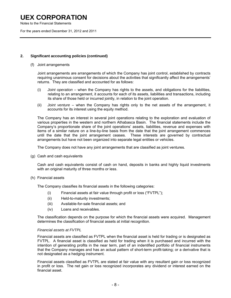Notes to the Financial Statements

For the years ended December 31, 2012 and 2011

### **2. Significant accounting policies (continued)**

#### (f) Joint arrangements

Joint arrangements are arrangements of which the Company has joint control, established by contracts requiring unanimous consent for decisions about the activities that significantly affect the arrangements' returns. They are classified and accounted for as follows:

- (i) *Joint operation* when the Company has rights to the assets, and obligations for the liabilities, relating to an arrangement, it accounts for each of its assets, liabilities and transactions, including its share of those held or incurred jointly, in relation to the joint operation.
- (ii) *Joint venture* when the Company has rights only to the net assets of the arrangement, it accounts for its interest using the equity method.

 The Company has an interest in several joint operations relating to the exploration and evaluation of various properties in the western and northern Athabasca Basin. The financial statements include the Company's proportionate share of the joint operations' assets, liabilities, revenue and expenses with items of a similar nature on a line-by-line basis from the date that the joint arrangement commences until the date that the joint arrangement ceases. These interests are governed by contractual arrangements but have not been organized into separate legal entities or vehicles.

The Company does not have any joint arrangements that are classified as joint ventures.

(g) Cash and cash equivalents

 Cash and cash equivalents consist of cash on hand, deposits in banks and highly liquid investments with an original maturity of three months or less.

#### (h) Financial assets

The Company classifies its financial assets in the following categories:

- (i) Financial assets at fair value through profit or loss ("FVTPL");
- (ii) Held-to-maturity investments;
- (iii) Available-for-sale financial assets; and
- (iv) Loans and receivables.

 The classification depends on the purpose for which the financial assets were acquired. Management determines the classification of financial assets at initial recognition.

### *Financial assets at FVTPL*

 Financial assets are classified as FVTPL when the financial asset is held for trading or is designated as FVTPL. A financial asset is classified as held for trading when it is purchased and incurred with the intention of generating profits in the near term, part of an indentified portfolio of financial instruments that the Company manages and has an actual pattern of short-term profit-taking; or a derivative that is not designated as a hedging instrument.

 Financial assets classified as FVTPL are stated at fair value with any resultant gain or loss recognized in profit or loss. The net gain or loss recognized incorporates any dividend or interest earned on the financial asset.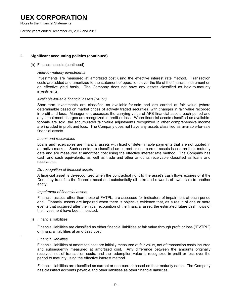Notes to the Financial Statements

For the years ended December 31, 2012 and 2011

### **2. Significant accounting policies (continued)**

#### (h) Financial assets (continued)

### *Held-to-maturity investments*

 Investments are measured at amortized cost using the effective interest rate method. Transaction costs are added and amortized to the statement of operations over the life of the financial instrument on an effective yield basis. The Company does not have any assets classified as held-to-maturity investments.

### *Available-for-sale financial assets ("AFS")*

 Short-term investments are classified as available-for-sale and are carried at fair value (where determinable based on market prices of actively traded securities) with changes in fair value recorded in profit and loss. Management assesses the carrying value of AFS financial assets each period and any impairment charges are recognized in profit or loss. When financial assets classified as availablefor-sale are sold, the accumulated fair value adjustments recognized in other comprehensive income are included in profit and loss. The Company does not have any assets classified as available-for-sale financial assets.

### *Loans and receivables*

 Loans and receivables are financial assets with fixed or determinable payments that are not quoted in an active market. Such assets are classified as current or non-current assets based on their maturity date and are measured at amortized cost using the effective interest rate method. The Company has cash and cash equivalents, as well as trade and other amounts receivable classified as loans and receivables.

### *De-recognition of financial assets*

 A financial asset is de-recognized when the contractual right to the asset's cash flows expires or if the Company transfers the financial asset and substantially all risks and rewards of ownership to another entity.

#### *Impairment of financial assets*

 Financial assets, other than those at FVTPL, are assessed for indicators of impairment at each period end. Financial assets are impaired when there is objective evidence that, as a result of one or more events that occurred after the initial recognition of the financial asset, the estimated future cash flows of the investment have been impacted.

### (i) Financial liabilities

 Financial liabilities are classified as either financial liabilities at fair value through profit or loss ("FVTPL") or financial liabilities at amortized cost. .

#### *Financial liabilities*

Financial liabilities at amortized cost are initially measured at fair value, net of transaction costs incurred and subsequently measured at amortized cost. Any difference between the amounts originally received, net of transaction costs, and the redemption value is recognized in profit or loss over the period to maturity using the effective interest method.

Financial liabilities are classified as current or non-current based on their maturity dates. The Company has classified accounts payable and other liabilities as other financial liabilities.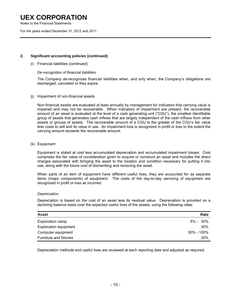Notes to the Financial Statements

For the years ended December 31, 2012 and 2011

### **2. Significant accounting policies (continued)**

(i) Financial liabilities (continued)

### *De-recognition of financial liabilities*

The Company de-recognizes financial liabilities when, and only when, the Company's obligations are discharged, cancelled or they expire.

(j) Impairment of non-financial assets

 Non-financial assets are evaluated at least annually by management for indicators that carrying value is impaired and may not be recoverable. When indicators of impairment are present, the recoverable amount of an asset is evaluated at the level of a cash generating unit ("CGU"), the smallest identifiable group of assets that generates cash inflows that are largely independent of the cash inflows from other assets or groups of assets. The recoverable amount of a CGU is the greater of the CGU's fair value less costs to sell and its value in use. An impairment loss is recognized in profit or loss to the extent the carrying amount exceeds the recoverable amount.

(k) Equipment

Equipment is stated at cost less accumulated depreciation and accumulated impairment losses. Cost comprises the fair value of consideration given to acquire or construct an asset and includes the direct charges associated with bringing the asset to the location and condition necessary for putting it into use, along with the future cost of dismantling and removing the asset.

 When parts of an item of equipment have different useful lives, they are accounted for as separate items (major components) of equipment. The costs of the day-to-day servicing of equipment are recognized in profit or loss as incurred.

### *Depreciation*

 Depreciation is based on the cost of an asset less its residual value. Depreciation is provided on a declining balance basis over the expected useful lives of the assets, using the following rates:

| <b>Asset</b>                 | Rate         |
|------------------------------|--------------|
| <b>Exploration camp</b>      | $5\% - 30\%$ |
| <b>Exploration equipment</b> | 30%          |
| Computer equipment           | 30% - 100%   |
| Furniture and fixtures       | 20%          |

Depreciation methods and useful lives are reviewed at each reporting date and adjusted as required.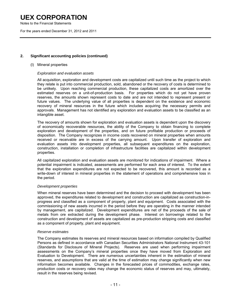Notes to the Financial Statements

For the years ended December 31, 2012 and 2011

### **2. Significant accounting policies (continued)**

### (l) Mineral properties

### *Exploration and evaluation assets*

 All acquisition, exploration and development costs are capitalized until such time as the project to which they relate is put into commercial production, sold, abandoned or the recovery of costs is determined to be unlikely. Upon reaching commercial production, these capitalized costs are amortized over the estimated reserves on a unit-of-production basis. For properties which do not yet have proven reserves, the amounts shown represent costs to date and are not intended to represent present or future values. The underlying value of all properties is dependent on the existence and economic recovery of mineral resources in the future which includes acquiring the necessary permits and approvals. Management has not identified any exploration and evaluation assets to be classified as an intangible asset.

 The recovery of amounts shown for exploration and evaluation assets is dependent upon the discovery of economically recoverable resources, the ability of the Company to obtain financing to complete exploration and development of the properties, and on future profitable production or proceeds of disposition. The Company recognizes in income costs recovered on mineral properties when amounts received or receivable are in excess of the carrying amount. Upon transfer of exploration and evaluation assets into development properties, all subsequent expenditures on the exploration, construction, installation or completion of infrastructure facilities are capitalized within development properties.

All capitalized exploration and evaluation assets are monitored for indications of impairment. Where a potential impairment is indicated, assessments are performed for each area of interest. To the extent that the exploration expenditures are not expected to be recovered, this amount is recorded as a write-down of interest in mineral properties in the statement of operations and comprehensive loss in the period.

### *Development properties*

 When mineral reserves have been determined and the decision to proceed with development has been approved, the expenditures related to development and construction are capitalized as construction-inprogress and classified as a component of property, plant and equipment. Costs associated with the commissioning of new assets incurred in the period before they are operating in the manner intended by management, are capitalized. Development expenditures are net of the proceeds of the sale of metals from ore extracted during the development phase. Interest on borrowings related to the construction and development of assets are capitalized as pre-production stripping costs and classified as a component of property, plant and equipment.

### *Reserve estimates*

 The Company estimates its reserves and mineral resources based on information compiled by Qualified Persons as defined in accordance with Canadian Securities Administrators National Instrument 43-101 (Standards for Disclosure of Mineral Projects). Reserves are used when performing impairment assessments on the Company's mineral properties once they have moved from Exploration and Evaluation to Development. There are numerous uncertainties inherent in the estimation of mineral reserves, and assumptions that are valid at the time of estimation may change significantly when new information becomes available. Changes in the forecasted prices of commodities, exchange rates, production costs or recovery rates may change the economic status of reserves and may, ultimately, result in the reserves being revised.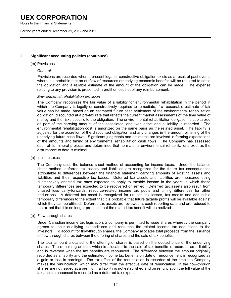Notes to the Financial Statements

For the years ended December 31, 2012 and 2011

### **2. Significant accounting policies (continued)**

#### (m) Provisions

### *General*

 Provisions are recorded when a present legal or constructive obligation exists as a result of past events where it is probable that an outflow of resources embodying economic benefits will be required to settle the obligation and a reliable estimate of the amount of the obligation can be made. The expense relating to any provision is presented in profit or loss net of any reimbursement.

### *Environmental rehabilitation provision*

 The Company recognizes the fair value of a liability for environmental rehabilitation in the period in which the Company is legally or constructively required to remediate, if a reasonable estimate of fair value can be made, based on an estimated future cash settlement of the environmental rehabilitation obligation, discounted at a pre-tax rate that reflects the current market assessments of the time value of money and the risks specific to the obligation. The environmental rehabilitation obligation is capitalized as part of the carrying amount of the associated long-lived asset and a liability is recorded. The environmental rehabilitation cost is amortized on the same basis as the related asset. The liability is adjusted for the accretion of the discounted obligation and any changes in the amount or timing of the underlying future cash flows. Significant judgments and estimates are involved in forming expectations of the amounts and timing of environmental rehabilitation cash flows. The Company has assessed each of its mineral projects and determined that no material environmental rehabilitations exist as the disturbance to date is minimal.

(n) Income taxes

 The Company uses the balance sheet method of accounting for income taxes. Under the balance sheet method, deferred tax assets and liabilities are recognized for the future tax consequences attributable to differences between the financial statement carrying amounts of existing assets and liabilities and their respective tax bases. Deferred tax assets and liabilities are measured using substantively enacted tax rates expected to apply to taxable income in the years in which those temporary differences are expected to be recovered or settled. Deferred tax assets also result from unused loss carry-forwards, resource-related income tax pools and timing differences for other deductions. A deferred tax asset is recognized for unused tax losses, tax credits and deductible temporary differences to the extent that it is probable that future taxable profits will be available against which they can be utilized. Deferred tax assets are reviewed at each reporting date and are reduced to the extent that it is no longer probable that the related tax benefit will be realized.

(o) Flow-through shares

 Under Canadian income tax legislation, a company is permitted to issue shares whereby the company agrees to incur qualifying expenditures and renounce the related income tax deductions to the investors. To account for flow-through shares, the Company allocates total proceeds from the issuance of flow-through shares between the offering of shares and the sale of tax benefits.

 The total amount allocated to the offering of shares is based on the quoted price of the underlying shares. The remaining amount which is allocated to the sale of tax benefits is recorded as a liability and is reversed when the tax benefits are renounced. The difference between the amount originally recorded as a liability and the estimated income tax benefits on date of renouncement is recognized as a gain or loss in earnings. The tax effect of the renunciation is recorded at the time the Company makes the renunciation, which may differ from the effective date of renunciation. If the flow-through shares are not issued at a premium, a liability is not established and on renunciation the full value of the tax assets renounced is recorded as a deferred tax expense.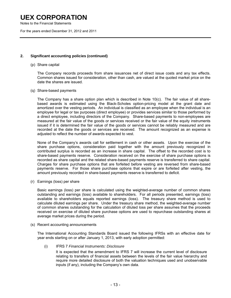Notes to the Financial Statements

For the years ended December 31, 2012 and 2011

### **2. Significant accounting policies (continued)**

#### (p) Share capital

 The Company records proceeds from share issuances net of direct issue costs and any tax effects. Common shares issued for consideration, other than cash, are valued at the quoted market price on the date the shares are issued.

#### (q) Share-based payments

 The Company has a share option plan which is described in Note 10(c). The fair value of all sharebased awards is estimated using the Black-Scholes option-pricing model at the grant date and amortized over the vesting periods. An individual is classified as an employee when the individual is an employee for legal or tax purposes (direct employee) or provides services similar to those performed by a direct employee, including directors of the Company. Share-based payments to non-employees are measured at the fair value of the goods or services received or the fair value of the equity instruments issued if it is determined the fair value of the goods or services cannot be reliably measured and are recorded at the date the goods or services are received. The amount recognized as an expense is adjusted to reflect the number of awards expected to vest.

 None of the Company's awards call for settlement in cash or other assets. Upon the exercise of the share purchase options, consideration paid together with the amount previously recognized in contributed surplus is recorded as an increase in share capital. The offset to the recorded cost is to share-based payments reserve. Consideration received on the exercise of share purchase options is recorded as share capital and the related share-based payments reserve is transferred to share capital. Charges for share purchase options that are forfeited before vesting are reversed from share-based payments reserve. For those share purchase options that expire or are forfeited after vesting, the amount previously recorded in share-based payments reserve is transferred to deficit.

(r) Earnings (loss) per share

 Basic earnings (loss) per share is calculated using the weighted-average number of common shares outstanding and earnings (loss) available to shareholders. For all periods presented, earnings (loss) available to shareholders equals reported earnings (loss). The treasury share method is used to calculate diluted earnings per share. Under the treasury share method, the weighted-average number of common shares outstanding for the calculation of diluted loss per share assumes that the proceeds received on exercise of diluted share purchase options are used to repurchase outstanding shares at average market prices during the period.

(s) Recent accounting announcements

 The International Accounting Standards Board issued the following IFRSs with an effective date for year ends starting on or after January 1, 2013, with early adoption permitted:

### (i) IFRS 7 *Financial Instruments: Disclosure*

It is expected that the amendment to IFRS 7 will increase the current level of disclosure relating to transfers of financial assets between the levels of the fair value hierarchy and require more detailed disclosure of both the valuation techniques used and unobservable inputs (if any), including the Company's own data.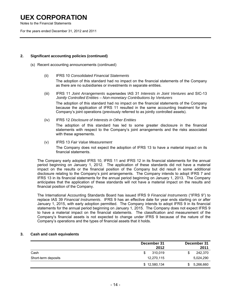Notes to the Financial Statements

For the years ended December 31, 2012 and 2011

### **2. Significant accounting policies (continued)**

- (s) Recent accounting announcements (continued)
	- (ii) IFRS 10 *Consolidated Financial Statements*

The adoption of this standard had no impact on the financial statements of the Company as there are no subsidiaries or investments in separate entities.

- (iii) IFRS 11 *Joint Arrangements* supersedes IAS 31 *Interests in Joint Ventures* and SIC-13 *Jointly Controlled Entities – Non-monetary Contributions by Venturers* The adoption of this standard had no impact on the financial statements of the Company because the application of IFRS 11 resulted in the same accounting treatment for the Company's joint operations (previously referred to as jointly controlled assets).
- (iv) IFRS 12 *Disclosure of Interests in Other Entities* The adoption of this standard has led to some greater disclosure in the financial statements with respect to the Company's joint arrangements and the risks associated with these agreements.
- (v) IFRS 13 *Fair Value Measurement*

The Company does not expect the adoption of IFRS 13 to have a material impact on its financial statements.

The Company early adopted IFRS 10, IFRS 11 and IFRS 12 in its financial statements for the annual period beginning on January 1, 2012. The application of these standards did not have a material impact on the results or the financial position of the Company but did result in some additional disclosure relating to the Company's joint arrangements. The Company intends to adopt IFRS 7 and IFRS 13 in its financial statements for the annual period beginning on January 1, 2013. The Company anticipates that the application of these standards will not have a material impact on the results and financial position of the Company.

 The International Accounting Standards Board has issued IFRS 9 *Financial Instruments* ("IFRS 9") to replace IAS 39 *Financial Instruments*. IFRS 9 has an effective date for year ends starting on or after January 1, 2015, with early adoption permitted. The Company intends to adopt IFRS 9 in its financial statements for the annual period beginning on January 1, 2015. The Company does not expect IFRS 9 to have a material impact on the financial statements. The classification and measurement of the Company's financial assets is not expected to change under IFRS 9 because of the nature of the Company's operations and the types of financial assets that it holds.

### **3. Cash and cash equivalents**

|                     | December 31  | December 31     |  |  |
|---------------------|--------------|-----------------|--|--|
|                     | 2012         | 2011            |  |  |
| Cash                | 310,019      | 242,370         |  |  |
| Short-term deposits | 12,270,115   | 5,024,290       |  |  |
|                     | \$12,580,134 | 5,266,660<br>S. |  |  |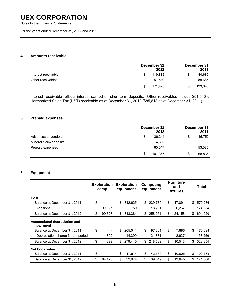Notes to the Financial Statements

For the years ended December 31, 2012 and 2011

### **4. Amounts receivable**

|                     | December 31  | 2012 | December 31<br>2011 |
|---------------------|--------------|------|---------------------|
| Interest receivable | 119.885<br>S | \$   | 44,660              |
| Other receivables   | 51.540       |      | 88,685              |
|                     | 171.425<br>S |      | 133,345             |

 Interest receivable reflects interest earned on short-term deposits. Other receivables include \$51,540 of Harmonized Sales Tax (HST) receivable as at December 31, 2012 (\$85,818 as at December 31, 2011).

### **5. Prepaid expenses**

|                        |   | December 31<br>2012 |    | December 31<br>2011 |
|------------------------|---|---------------------|----|---------------------|
| Advances to vendors    | S | 36,244              | \$ | 15,750              |
| Mineral claim deposits |   | 4,596               |    |                     |
| Prepaid expenses       |   | 60,517              |    | 53,085              |
|                        | S | 101.357             | S  | 68,835              |

### **6. Equipment**

|                                            | <b>Exploration</b><br>camp | <b>Exploration</b><br>equipment |    | <b>Computing</b><br>equipment | <b>Furniture</b><br>and<br>fixtures | Total         |
|--------------------------------------------|----------------------------|---------------------------------|----|-------------------------------|-------------------------------------|---------------|
| Cost                                       |                            |                                 |    |                               |                                     |               |
| Balance at December 31, 2011               | \$                         | \$<br>312,625                   | \$ | 239,770                       | \$<br>17.891                        | \$<br>570,286 |
| Additions                                  | 99,327                     | 759                             |    | 18,281                        | 6,267                               | 124,634       |
| Balance at December 31, 2012               | \$<br>99,327               | \$<br>313,384                   | S  | 258,051                       | \$<br>24,158                        | \$<br>694,920 |
| Accumulated depreciation and<br>impairment |                            |                                 |    |                               |                                     |               |
| Balance at December 31, 2011               | \$                         | \$<br>265.011                   | \$ | 197.201                       | \$<br>7.886                         | \$<br>470,098 |
| Depreciation charge for the period         | 14,899                     | 14,399                          |    | 21,331                        | 2,627                               | 53,256        |
| Balance at December 31, 2012               | \$<br>14,899               | \$<br>279.410                   | \$ | 218.532                       | \$<br>10.513                        | \$<br>523,354 |
| Net book value                             |                            |                                 |    |                               |                                     |               |
| Balance at December 31, 2011               | \$                         | \$<br>47,614                    | \$ | 42,569                        | \$<br>10,005                        | \$<br>100,188 |
| Balance at December 31, 2012               | \$<br>84,428               | \$<br>33,974                    | \$ | 39,519                        | \$<br>13.645                        | \$<br>171.566 |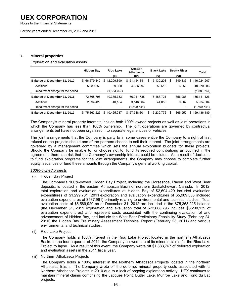Notes to the Financial Statements

For the years ended December 31, 2012 and 2011

### **7. Mineral properties**

Exploration and evaluation assets

|                                     | <b>Hidden Bay</b><br>(i) | <b>Riou Lake</b><br>(ii) | Western<br>Athabasca<br>(iv) | <b>Black Lake</b><br>(v) | <b>Beatty River</b><br>(vi) | Total             |
|-------------------------------------|--------------------------|--------------------------|------------------------------|--------------------------|-----------------------------|-------------------|
| Balance at December 31, 2010        | \$66,679,440             | 12,209,890<br>\$         | \$51,154,841                 | 15,130,203<br>S.         | 849,833<br>S                | 146,024,207<br>S  |
| Additions                           | 5,989,356                | 59.660                   | 4,856,897                    | 58.518                   | 6,255                       | 10,970,686        |
| Impairment charge for the period    | $\overline{\phantom{a}}$ | (1,883,767)              |                              |                          | $\overline{\phantom{a}}$    | (1,883,767)       |
| <b>Balance at December 31, 2011</b> | 72.668.796               | 10,385,783               | 56,011,738                   | 15,188,721               | 856.088                     | 155,111,126       |
| Additions                           | 2.694.429                | 40.154                   | 3.146.304                    | 44.055                   | 9,862                       | 5.934.804         |
| Impairment charge for the period    |                          | $\overline{\phantom{a}}$ | (1,609,741)                  |                          | $\overline{\phantom{a}}$    | (1,609,741)       |
| <b>Balance at December 31, 2012</b> | \$75.363.225             | \$<br>10.425.937         | \$57.548.301                 | 15,232,776<br>\$         | \$<br>865.950               | 159,436,189<br>\$ |

The Company's mineral property interests include both 100%-owned projects as well as joint operations in which the Company has less than 100% ownership. The joint operations are governed by contractual arrangements but have not been organized into separate legal entities or vehicles.

The joint arrangements that the Company is party to in some cases entitle the Company to a right of first refusal on the projects should one of the partners choose to sell their interest. The joint arrangements are governed by a management committee which sets the annual exploration budgets for these projects. Should the Company be unable to, or choose not to, fund its required contributions as outlined in the agreement, there is a risk that the Company's ownership interest could be diluted. As a result of decisions to fund exploration programs for the joint arrangements, the Company may choose to complete further equity issuances or fund these amounts through the Company's general working capital.

### *100%-owned projects*

(i) Hidden Bay Project

 The Company's 100%-owned Hidden Bay Project, including the Horseshoe, Raven and West Bear deposits, is located in the eastern Athabasca Basin of northern Saskatchewan, Canada. In 2012, total exploration and evaluation expenditures at Hidden Bay of \$2,694,429 included evaluation expenditures of \$1,299,781 (2011 exploration and evaluation expenditures of \$5,989,356 included evaluation expenditures of \$587,961) primarily relating to environmental and technical studies. Total evaluation costs of \$6,589,920 as at December 31, 2012 are included in the \$75,363,225 balance (the December 31, 2011 exploration and evaluation total of \$72,668,796 includes \$5,290,139 of evaluation expenditures) and represent costs associated with the continuing evaluation of and advancement of Hidden Bay, and include the West Bear Preliminary Feasibility Study (February 24, 2010) the Hidden Bay Preliminary Assessment Technical Report (February 23, 2011) and various environmental and technical studies.

(ii) Riou Lake Project

 The Company holds a 100% interest in the Riou Lake Project located in the northern Athabasca Basin. In the fourth quarter of 2011, the Company allowed one of its mineral claims for the Riou Lake Project to lapse. As a result of this event, the Company wrote off \$1,883,767 of deferred exploration and evaluation assets in the 2011 fiscal year.

(iii) Northern Athabasca Projects

 The Company holds a 100% interest in the Northern Athabasca Projects located in the northern Athabasca Basin. The Company wrote off the deferred mineral property costs associated with its Northern Athabasca Projects in 2010 due to a lack of ongoing exploration activity. UEX continues to maintain mineral claims comprising the Jacques Point, Butler Lake, Munroe Lake and Fond du Lac projects.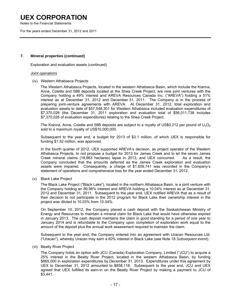Notes to the Financial Statements

For the years ended December 31, 2012 and 2011

### **7. Mineral properties (continued)**

Exploration and evaluation assets (continued)

#### *Joint operations*

(iv) Western Athabasca Projects

 The Western Athabasca Projects, located in the western Athabasca Basin, which include the Kianna, Anne, Colette and 58B deposits located at the Shea Creek Project, are nine joint ventures with the Company holding a 49% interest and AREVA Resources Canada Inc. ("AREVA") holding a 51% interest as at December 31, 2012 and December 31, 2011. The Company is in the process of preparing joint-venture agreements with AREVA. At December 31, 2012, total exploration and evaluation assets to date of \$57,548,301 for Western Athabasca included evaluation expenditures of \$7,370,026 (the December 31, 2011 exploration and evaluation total of \$56,011,738 includes \$7,370,026 of evaluation expenditures) relating to the Shea Creek Project.

The Kianna, Anne, Colette and 58B deposits are subject to a royalty of US\$0.212 per pound of  $U_3O_8$ sold to a maximum royalty of US\$10,000,000.

 Subsequent to the year end, a budget for 2013 of \$3.1 million, of which UEX is responsible for funding \$1.52 million, was approved.

 In the fourth quarter of 2012, UEX supported AREVA's decision, as project operator of the Western Athabasca Projects, to not propose a budget for 2013 for James Creek and to let the seven James Creek mineral claims (18,963 hectares) lapse in 2013, and UEX concurred. As a result, the Company concluded that the amounts deferred as the James Creek exploration and evaluation assets were impaired. Consequently, a charge of \$1,609,741 was recorded in the Company's statement of operations and comprehensive loss for the year ended December 31, 2012.

(v) Black Lake Project

 The Black Lake Project ("Black Lake"), located in the northern Athabasca Basin, is a joint venture with the Company holding an 89.96% interest and AREVA holding a 10.04% interest as at December 31, 2012 and December 31, 2011. Subsequent to the year end, UEX notified AREVA that as a result of their decision to not participate in the 2012 program for Black Lake their ownership interest in the project was diluted to 10.03% from 10.04%.

 On September 10, 2012, the Company placed a cash deposit with the Saskatchewan Ministry of Energy and Resources to maintain a mineral claim for Black Lake that would have otherwise expired in January 2013. The cash deposit maintains the claim in good standing for a period of one year to January 2014 and is refundable to the Company upon completion of exploration work equal to the amount of the deposit plus the annual work assessment required to maintain the claim.

 Subsequent to the year end, the Company entered into an agreement with Uracan Resources Ltd. ("Uracan"), whereby Uracan may earn a 60% interest in Black Lake (see Note 18 *Subsequent event*).

(vi) Beatty River Project

 The Company holds an option with JCU (Canada) Exploration Company, Limited ("JCU") to acquire a 25% interest in the Beatty River Project, located in the western Athabasca Basin, by funding \$865,000 in exploration expenditures by December 31, 2013. Expenditures under this agreement by UEX to December 31, 2012 amounted to \$858,118. Subsequent to the year end, JCU and UEX agreed that UEX fulfilled its earn-in on the Beatty River Project by making a payment to JCU of \$3,441.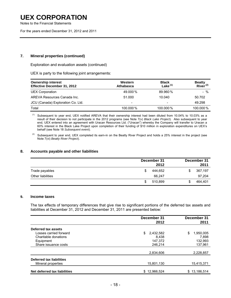Notes to the Financial Statements

For the years ended December 31, 2012 and 2011

### **7. Mineral properties (continued)**

Exploration and evaluation assets (continued)

UEX is party to the following joint arrangements:

| <b>Ownership interest</b><br>Effective December 31, 2012 | Western<br>Athabasca | <b>Black</b><br>Lake $(1)$ | <b>Beatty</b><br>River $(2)$ |
|----------------------------------------------------------|----------------------|----------------------------|------------------------------|
| UEX Corporation                                          | 49.000%              | 89.960%                    | $-$ %                        |
| AREVA Resources Canada Inc.                              | 51.000               | 10.040                     | 50.702                       |
| JCU (Canada) Exploration Co. Ltd.                        | -                    | -                          | 49.298                       |
| Total                                                    | 100.000%             | 100.000%                   | 100.000%                     |

(1) Subsequent to year end, UEX notified AREVA that their ownership interest had been diluted from 10.04% to 10.03% as a result of their decision to not participate in the 2012 programs (see Note 7(v) *Black Lake Project*). Also subsequent to year end, UEX entered into an agreement with Uracan Resources Ltd. ("Uracan") whereby the Company will transfer to Uracan a 60% interest in the Black Lake Project upon completion of their funding of \$10 million in exploration expenditures on UEX's behalf (see Note 18 *Subsequent event*).

 $(2)$  Subsequent to year end, UEX completed its earn-in on the Beatty River Project and holds a 25% interest in the project (see Note 7(vi) *Beatty River Project*).

### **8. Accounts payable and other liabilities**

|                   | December 31<br>2012 | December 31<br>2011 |
|-------------------|---------------------|---------------------|
| Trade payables    | 444.652<br>S        | 367,197<br>\$       |
| Other liabilities | 66.247              | 97,204              |
|                   | 510.899<br>S        | 464.401<br>S        |

#### **9. Income taxes**

 The tax effects of temporary differences that give rise to significant portions of the deferred tax assets and liabilities at December 31, 2012 and December 31, 2011 are presented below:

|                              | December 31     | December 31     |
|------------------------------|-----------------|-----------------|
|                              | 2012            | 2011            |
| Deferred tax assets          |                 |                 |
| Losses carried forward       | \$<br>2,432,582 | 1,950,005<br>\$ |
| Charitable donations         | 8,438           | 7,898           |
| Equipment                    | 147.372         | 132,993         |
| Share issuance costs         | 246.214         | 137,961         |
|                              |                 |                 |
|                              | 2,834,606       | 2,228,857       |
| Deferred tax liabilities     |                 |                 |
| Mineral properties           | 15,801,130      | 15,415,371      |
| Net deferred tax liabilities | \$12,966,524    | \$13,186,514    |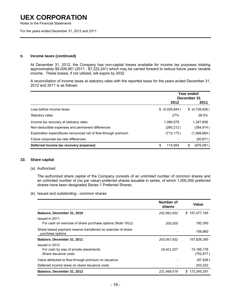Notes to the Financial Statements

For the years ended December 31, 2012 and 2011

### **9. Income taxes (continued)**

 At December 31, 2012, the Company has non-capital losses available for income tax purposes totaling approximately \$9,009,561 (2011 - \$7,222,241) which may be carried forward to reduce future years' taxable income. These losses, if not utilized, will expire by 2032.

A reconciliation of income taxes at statutory rates with the reported taxes for the years ended December 31, 2012 and 2011 is as follows:

|                                                                | Year ended<br>December 31 |                |                 |  |
|----------------------------------------------------------------|---------------------------|----------------|-----------------|--|
|                                                                |                           | 2012           | 2011            |  |
| Loss before income taxes                                       |                           | \$ (4,025,844) | \$ (4,728,626)  |  |
| Statutory rates                                                |                           | 27%            | 28.5%           |  |
| Income tax recovery at statutory rates                         |                           | 1,086,978      | 1.347.658       |  |
| Non-deductible expenses and permanent differences              |                           | (260, 212)     | (384, 914)      |  |
| Exploration expenditures renounced net of flow-through premium |                           | (712, 173)     | (1,588,664)     |  |
| Future corporate tax rate differences                          |                           |                | (50, 671)       |  |
| Deferred income tax recovery (expense)                         | \$                        | 114.593        | (676, 591)<br>S |  |

### **10. Share capital**

#### (a) Authorized

 The authorized share capital of the Company consists of an unlimited number of common shares and an unlimited number of (no par value) preferred shares issuable in series, of which 1,000,000 preferred shares have been designated Series 1 Preferred Shares.

(b) Issued and outstanding - common shares

|                                                                                  | Number of<br>shares | Value                    |
|----------------------------------------------------------------------------------|---------------------|--------------------------|
| Balance, December 31, 2010                                                       | 202,862,652         | \$157,477,185            |
| Issued in 2011<br>For cash on exercise of share purchase options (Note 10(c))    | 205,000             | 192.350                  |
| Share-based payment reserve transferred on exercise of share<br>purchase options |                     | 156,860                  |
| Balance, December 31, 2011                                                       | 203,067,652         | 157,826,395              |
| Issued in 2012<br>For cash by way of private placements<br>Share issuance costs  | 18,421,027          | 15,166,176<br>(752, 677) |
| Value attributed to flow-through premium on issuance                             |                     | (97, 826)                |
| Deferred income taxes on share issuance costs                                    |                     | 203,223                  |
| Balance, December 31, 2012                                                       | 221,488,679         | \$172,345,291            |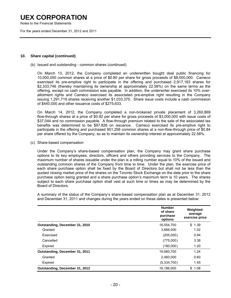Notes to the Financial Statements

For the years ended December 31, 2012 and 2011

#### **10. Share capital (continued)**

(b) Issued and outstanding - common shares (continued)

 On March 13, 2012, the Company completed an underwritten bought deal public financing for 10,000,000 common shares at a price of \$0.80 per share for gross proceeds of \$8,000,000. Cameco exercised its pre-emptive right to participate in the offering and purchased 2,917,183 shares for \$2,333,746 (thereby maintaining its ownership at approximately 22.58%) on the same terms as the offering, except no cash commission was payable. In addition, the underwriter exercised its 10% overallotment rights and Cameco exercised its associated pre-emptive right resulting in the Company issuing 1,291,719 shares receiving another \$1,033,375. Share issue costs include a cash commission of \$440,000 and other issuance costs of \$275,633.

 On March 14, 2012, the Company completed a non-brokered private placement of 3,260,869 flow-through shares at a price of \$0.92 per share for gross proceeds of \$3,000,000 with issue costs of \$37,044 and no commission payable. A flow-through premium related to the sale of the associated tax benefits was determined to be \$97,826 on issuance. Cameco exercised its pre-emptive right to participate in the offering and purchased 951,256 common shares at a non-flow-through price of \$0.84 per share offered by the Company, so as to maintain its ownership interest at approximately 22.58%.

(c) Share-based compensation

 Under the Company's share-based compensation plan, the Company may grant share purchase options to its key employees, directors, officers and others providing services to the Company. The maximum number of shares issuable under the plan is a rolling number equal to 10% of the issued and outstanding common shares of the Company from time to time. Under the plan, the exercise price of each share purchase option shall be fixed by the Board of Directors but shall not be less than the quoted closing market price of the shares on the Toronto Stock Exchange on the date prior to the share purchase option being granted and a share purchase option's maximum term is 10 years. The shares subject to each share purchase option shall vest at such time or times as may be determined by the Board of Directors.

 A summary of the status of the Company's share-based compensation plan as at December 31, 2012 and December 31, 2011 and changes during the years ended on these dates is presented below:

|                                | <b>Number</b><br>of share<br>purchase<br>options | <b>Weighted-</b><br>average<br>exercise price |
|--------------------------------|--------------------------------------------------|-----------------------------------------------|
| Outstanding, December 31, 2010 | 16,554,700                                       | \$1.39                                        |
| Granted                        | 3,666,000                                        | 1.02                                          |
| Exercised                      | (205,000)                                        | 0.94                                          |
| Cancelled                      | (775,000)                                        | 3.38                                          |
| Expired                        | (180,000)                                        | 1.20                                          |
| Outstanding, December 31, 2011 | 19.060.700                                       | 1.24                                          |
| Granted                        | 2,460,000                                        | 0.60                                          |
| Expired                        | (5,334,700)                                      | 1.45                                          |
| Outstanding, December 31, 2012 | 16,186,000                                       | \$<br>1.08                                    |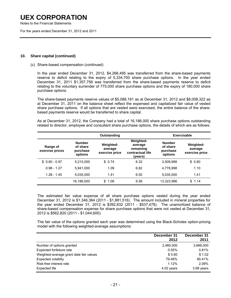Notes to the Financial Statements

For the years ended December 31, 2012 and 2011

#### **10. Share capital (continued)**

(c) Share-based compensation (continued)

 In the year ended December 31, 2012, \$4,266,495 was transferred from the share-based payments reserve to deficit relating to the expiry of 5,334,700 share purchase options. In the year ended December 31, 2011 \$1,357,756 was transferred from the share-based payments reserve to deficit relating to the voluntary surrender of 775,000 share purchase options and the expiry of 180,000 share purchase options.

 The share-based payments reserve values of \$5,088,191 as at December 31, 2012 and \$8,008,322 as at December 31, 2011 on the balance sheet reflect the expensed and capitalized fair value of vested share purchase options. If all options that are vested were exercised, the entire balance of the sharebased payments reserve would be transferred to share capital.

 As at December 31, 2012, the Company had a total of 16,186,000 share purchase options outstanding related to director, employee and consultant share purchase options, the details of which are as follows:

|                             | Outstanding                                      |                                                                                                                          |      |                                                  | <b>Exercisable</b>                            |
|-----------------------------|--------------------------------------------------|--------------------------------------------------------------------------------------------------------------------------|------|--------------------------------------------------|-----------------------------------------------|
| Range of<br>exercise prices | <b>Number</b><br>of share<br>purchase<br>options | <b>Weighted-</b><br><b>Weighted-</b><br>average<br>remaining<br>average<br>exercise price<br>contractual life<br>(years) |      | <b>Number</b><br>of share<br>purchase<br>options | <b>Weighted-</b><br>average<br>exercise price |
| $$0.60 - 0.97$              | 5,210,000                                        | \$0.74                                                                                                                   | 6.32 | 3,509,998                                        | \$0.80                                        |
| $0.98 - 1.27$               | 5.941.000                                        | 1.09                                                                                                                     | 6.82 | 4.778.998                                        | 1.10                                          |
| $1.28 - 1.45$               | 5,035,000                                        | 1.41                                                                                                                     | 6.50 | 5,035,000                                        | 1.41                                          |
|                             | 16,186,000                                       | \$.<br>1.08                                                                                                              | 6.56 | 13,323,996                                       | \$1.14                                        |

 The estimated fair value expense of all share purchase options vested during the year ended December 31, 2012 is \$1,346,364 (2011 - \$1,881,516). The amount included in mineral properties for the year ended December 31, 2012 is \$392,832 (2011 - \$537,478). The unamortized balance of share-based compensation expense for share purchase options that were not vested at December 31, 2012 is \$562,820 (2011 - \$1,044,600).

The fair value of the options granted each year was determined using the Black-Scholes option-pricing model with the following weighted-average assumptions:

|                                         | December 31<br>2012 | December 31<br>2011 |
|-----------------------------------------|---------------------|---------------------|
| Number of options granted               | 2,460,000           | 3,666,000           |
| Expected forfeiture rate                | 0.55%               | 0.81%               |
| Weighted-average grant date fair values | \$0.60              | \$1.02              |
| Expected volatility                     | 79.48%              | 85.41%              |
| Risk-free interest rate                 | 1.12%               | 2.09%               |
| Expected life                           | 4.02 years          | 3.99 years          |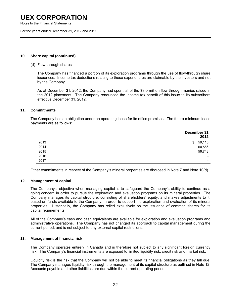Notes to the Financial Statements

For the years ended December 31, 2012 and 2011

### **10. Share capital (continued)**

(d) Flow-through shares

The Company has financed a portion of its exploration programs through the use of flow-through share issuances. Income tax deductions relating to these expenditures are claimable by the investors and not by the Company.

As at December 31, 2012, the Company had spent all of the \$3.0 million flow-through monies raised in the 2012 placement. The Company renounced the income tax benefit of this issue to its subscribers effective December 31, 2012.

### **11. Commitments**

 The Company has an obligation under an operating lease for its office premises. The future minimum lease payments are as follows:

|      | December 31<br>2012      |
|------|--------------------------|
| 2013 | 59,110<br>\$             |
| 2014 | 60,566                   |
| 2015 | 56,743                   |
| 2016 | $\overline{\phantom{a}}$ |
| 2017 | $\overline{\phantom{a}}$ |

Other commitments in respect of the Company's mineral properties are disclosed in Note 7 and Note 10(d).

### **12. Management of capital**

 The Company's objective when managing capital is to safeguard the Company's ability to continue as a going concern in order to pursue the exploration and evaluation programs on its mineral properties. The Company manages its capital structure, consisting of shareholders' equity, and makes adjustments to it, based on funds available to the Company, in order to support the exploration and evaluation of its mineral properties. Historically, the Company has relied exclusively on the issuance of common shares for its capital requirements.

 All of the Company's cash and cash equivalents are available for exploration and evaluation programs and administrative operations. The Company has not changed its approach to capital management during the current period, and is not subject to any external capital restrictions.

### **13. Management of financial risk**

 The Company operates entirely in Canada and is therefore not subject to any significant foreign currency risk. The Company's financial instruments are exposed to limited liquidity risk, credit risk and market risk.

 Liquidity risk is the risk that the Company will not be able to meet its financial obligations as they fall due. The Company manages liquidity risk through the management of its capital structure as outlined in Note 12. Accounts payable and other liabilities are due within the current operating period.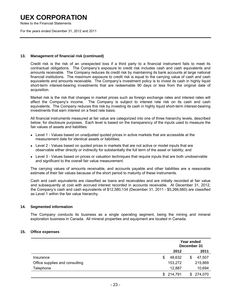Notes to the Financial Statements

For the years ended December 31, 2012 and 2011

### **13. Management of financial risk (continued)**

Credit risk is the risk of an unexpected loss if a third party to a financial instrument fails to meet its contractual obligations. The Company's exposure to credit risk includes cash and cash equivalents and amounts receivable. The Company reduces its credit risk by maintaining its bank accounts at large national financial institutions. The maximum exposure to credit risk is equal to the carrying value of cash and cash equivalents and amounts receivable. The Company's investment policy is to invest its cash in highly liquid short-term interest-bearing investments that are redeemable 90 days or less from the original date of acquisition.

Market risk is the risk that changes in market prices such as foreign exchange rates and interest rates will affect the Company's income. The Company is subject to interest rate risk on its cash and cash equivalents. The Company reduces this risk by investing its cash in highly liquid short-term interest-bearing investments that earn interest on a fixed rate basis.

 All financial instruments measured at fair value are categorized into one of three hierarchy levels, described below, for disclosure purposes. Each level is based on the transparency of the inputs used to measure the fair values of assets and liabilities:

- Level 1 Values based on unadjusted quoted prices in active markets that are accessible at the measurement date for identical assets or liabilities;
- Level 2 Values based on quoted prices in markets that are not active or model inputs that are observable either directly or indirectly for substantially the full term of the asset or liability; and
- Level 3 Values based on prices or valuation techniques that require inputs that are both unobservable and significant to the overall fair value measurement.

 The carrying values of amounts receivable, and accounts payable and other liabilities are a reasonable estimate of their fair values because of the short period to maturity of these instruments.

 Cash and cash equivalents are classified as loans and receivables and are initially recorded at fair value and subsequently at cost with accrued interest recorded in accounts receivable. At December 31, 2012, the Company's cash and cash equivalents of \$12,580,134 (December 31, 2011 - \$5,266,660) are classified as Level 1 within the fair value hierarchy.

### **14. Segmented information**

 The Company conducts its business as a single operating segment, being the mining and mineral exploration business in Canada. All mineral properties and equipment are located in Canada.

#### **15. Office expenses**

|                                | Year ended<br>December 31 |    |         |
|--------------------------------|---------------------------|----|---------|
|                                | 2012                      |    | 2011    |
| Insurance                      | \$<br>48,632              | \$ | 47,507  |
| Office supplies and consulting | 153,272                   |    | 215,869 |
| Telephone                      | 12,887                    |    | 10,694  |
|                                | \$214,791                 | S. | 274,070 |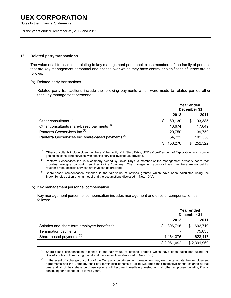Notes to the Financial Statements

For the years ended December 31, 2012 and 2011

### **16. Related party transactions**

 The value of all transactions relating to key management personnel, close members of the family of persons that are key management personnel and entities over which they have control or significant influence are as follows:

#### (a) Related party transactions

 Related party transactions include the following payments which were made to related parties other than key management personnel:

|                                                               |    | Year ended<br>December 31 |    |         |
|---------------------------------------------------------------|----|---------------------------|----|---------|
|                                                               |    | 2012                      |    | 2011    |
| Other consultants <sup>(1)</sup>                              | \$ | 60,130                    | \$ | 93,385  |
| Other consultants share-based payments <sup>(3)</sup>         |    | 13,674                    |    | 17,049  |
| Panterra Geoservices Inc. <sup>(2)</sup>                      |    | 29,750                    |    | 39,750  |
| Panterra Geoservices Inc. share-based payments <sup>(3)</sup> |    | 54,722                    |    | 102,338 |
|                                                               | S  | 158.276                   |    | 252,522 |

<sup>(1)</sup> Other consultants include close members of the family of R. Sierd Eriks, UEX's Vice-President of Exploration, who provide geological consulting services with specific services invoiced as provided.

<sup>(2)</sup> Panterra Geoservices Inc. is a company owned by David Rhys, a member of the management advisory board that provides geological consulting services to the Company. The management advisory board members are not paid a retainer or fee; specific services are invoiced as provided.

<sup>(3)</sup> Share-based compensation expense is the fair value of options granted which have been calculated using the Black-Scholes option-pricing model and the assumptions disclosed in Note 10(c).

#### (b) Key management personnel compensation

 Key management personnel compensation includes management and director compensation as follows:

|                                                          |              | Year ended<br>December 31 |
|----------------------------------------------------------|--------------|---------------------------|
|                                                          | 2012         | 2011                      |
| Salaries and short-term employee benefits <sup>(4)</sup> | 896.716<br>S | 692,719<br>S.             |
| Termination payments                                     |              | 75,833                    |
| Share-based payments <sup>(3)</sup>                      | 1,164,376    | 1,623,417                 |
|                                                          | \$2,061,092  | \$2,391,969               |

 $(3)$  Share-based compensation expense is the fair value of options granted which have been calculated using the Black-Scholes option-pricing model and the assumptions disclosed in Note 10(c).

In the event of a change of control of the Company, certain senior management may elect to terminate their employment agreements and the Company shall pay termination benefits of up to two times their respective annual salaries at that time and all of their share purchase options will become immediately vested with all other employee benefits, if any, continuing for a period of up to two years.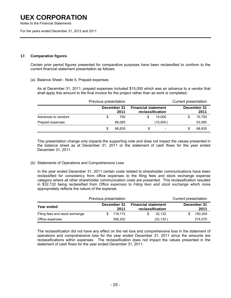Notes to the Financial Statements

For the years ended December 31, 2012 and 2011

### **17. Comparative figures**

Certain prior period figures presented for comparative purposes have been reclassified to conform to the current financial statement presentation as follows:

### (a) Balance Sheet - Note 5, Prepaid expenses

As at December 31, 2011, prepaid expenses included \$15,000 which was an advance to a vendor that shall apply this amount to the final invoice for the project rather than as work is completed.

|                     | Previous presentation |        |                            |                  | Current presentation |  |                     |  |
|---------------------|-----------------------|--------|----------------------------|------------------|----------------------|--|---------------------|--|
|                     | December 31           | 2011   | <b>Financial statement</b> | reclassification |                      |  | December 31<br>2011 |  |
| Advances to vendors | \$                    | 750    | S                          | 15.000           |                      |  | 15.750              |  |
| Prepaid expenses    |                       | 68.085 |                            | (15,000)         |                      |  | 53,085              |  |
|                     | S                     | 68.835 | \$                         | -                |                      |  | 68.835              |  |

This presentation change only impacts the supporting note and does not impact the values presented in the balance sheet as at December 31, 2011 or the statement of cash flows for the year ended December 31, 2011.

### (b) Statements of Operations and Comprehensive Loss

In the year ended December 31, 2011 certain costs related to shareholder communications have been reclassified for consistency from office expenses to the filing fees and stock exchange expense category where all other shareholder communication costs are presented. This reclassification resulted in \$32,132 being reclassified from *Office expenses* to *Filing fees and stock exchange* which more appropriately reflects the nature of the expense.

|                                | Previous presentation |                     |                            |                  | Current presentation |                     |
|--------------------------------|-----------------------|---------------------|----------------------------|------------------|----------------------|---------------------|
| Year ended                     |                       | December 31<br>2011 | <b>Financial statement</b> | reclassification |                      | December 31<br>2011 |
| Filing fees and stock exchange |                       | 118.172             | S.                         | 32.132           |                      | 150.304             |
| Office expenses                |                       | 306.202             |                            | (32, 132)        |                      | 274.070             |

The reclassification did not have any effect on the net loss and comprehensive loss in the statement of operations and comprehensive loss for the year ended December 31, 2011 since the amounts are reclassifications within expenses. The reclassification does not impact the values presented in the statement of cash flows for the year ended December 31, 2011.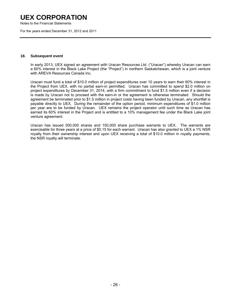Notes to the Financial Statements

For the years ended December 31, 2012 and 2011

#### **18. Subsequent event**

In early 2013, UEX signed an agreement with Uracan Resources Ltd. ("Uracan") whereby Uracan can earn a 60% interest in the Black Lake Project (the "Project") in northern Saskatchewan, which is a joint venture with AREVA Resources Canada Inc.

Uracan must fund a total of \$10.0 million of project expenditures over 10 years to earn their 60% interest in the Project from UEX, with no partial earn-in permitted. Uracan has committed to spend \$2.0 million on project expenditures by December 31, 2014, with a firm commitment to fund \$1.5 million even if a decision is made by Uracan not to proceed with the earn-in or the agreement is otherwise terminated. Should the agreement be terminated prior to \$1.5 million in project costs having been funded by Uracan, any shortfall is payable directly to UEX. During the remainder of the option period, minimum expenditures of \$1.0 million per year are to be funded by Uracan. UEX remains the project operator until such time as Uracan has earned its 60% interest in the Project and is entitled to a 10% management fee under the Black Lake joint venture agreement.

Uracan has issued 300,000 shares and 150,000 share purchase warrants to UEX. The warrants are exercisable for three years at a price of \$0.15 for each warrant. Uracan has also granted to UEX a 1% NSR royalty from their ownership interest and upon UEX receiving a total of \$10.0 million in royalty payments, the NSR royalty will terminate.